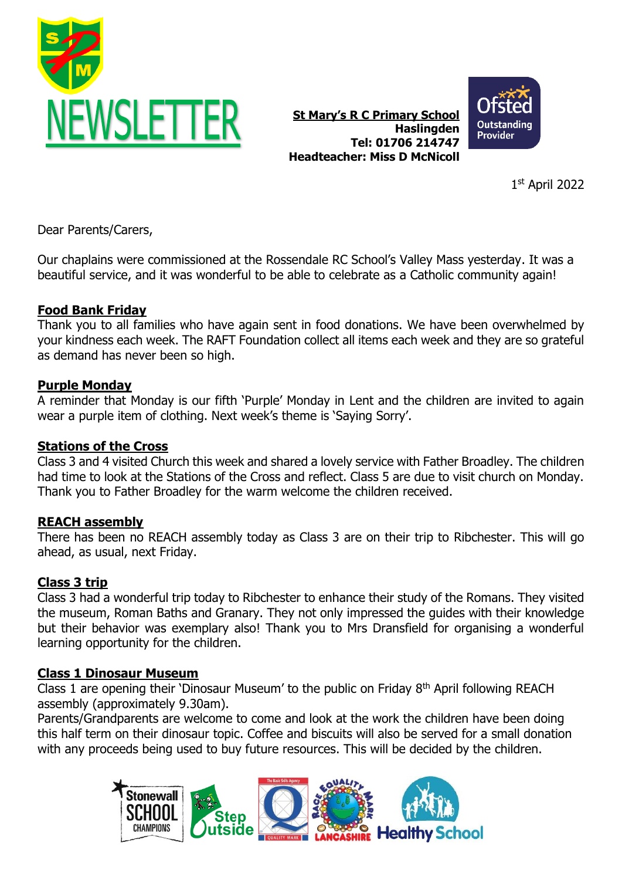

**St Mary's R C Primary School Haslingden Tel: 01706 214747 Headteacher: Miss D McNicoll**



1 st April 2022

Dear Parents/Carers,

Our chaplains were commissioned at the Rossendale RC School's Valley Mass yesterday. It was a beautiful service, and it was wonderful to be able to celebrate as a Catholic community again!

# **Food Bank Friday**

Thank you to all families who have again sent in food donations. We have been overwhelmed by your kindness each week. The RAFT Foundation collect all items each week and they are so grateful as demand has never been so high.

#### **Purple Monday**

A reminder that Monday is our fifth 'Purple' Monday in Lent and the children are invited to again wear a purple item of clothing. Next week's theme is 'Saying Sorry'.

#### **Stations of the Cross**

Class 3 and 4 visited Church this week and shared a lovely service with Father Broadley. The children had time to look at the Stations of the Cross and reflect. Class 5 are due to visit church on Monday. Thank you to Father Broadley for the warm welcome the children received.

# **REACH assembly**

There has been no REACH assembly today as Class 3 are on their trip to Ribchester. This will go ahead, as usual, next Friday.

# **Class 3 trip**

Class 3 had a wonderful trip today to Ribchester to enhance their study of the Romans. They visited the museum, Roman Baths and Granary. They not only impressed the guides with their knowledge but their behavior was exemplary also! Thank you to Mrs Dransfield for organising a wonderful learning opportunity for the children.

#### **Class 1 Dinosaur Museum**

Class 1 are opening their 'Dinosaur Museum' to the public on Friday  $8<sup>th</sup>$  April following REACH assembly (approximately 9.30am).

Parents/Grandparents are welcome to come and look at the work the children have been doing this half term on their dinosaur topic. Coffee and biscuits will also be served for a small donation with any proceeds being used to buy future resources. This will be decided by the children.